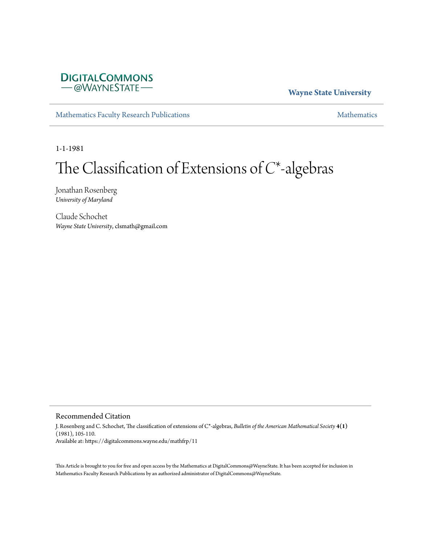

## **Wayne State University**

[Mathematics Faculty Research Publications](https://digitalcommons.wayne.edu/mathfrp) **[Mathematics](https://digitalcommons.wayne.edu/math)** Mathematics

1-1-1981

# The Classification of Extensions of *C*\*-algebras

Jonathan Rosenberg *University of Maryland*

Claude Schochet *Wayne State University*, clsmath@gmail.com

### Recommended Citation

J. Rosenberg and C. Schochet, The classification of extensions of C\*-algebras, *Bulletin of the American Mathematical Society* **4(1)** (1981), 105-110. Available at: https://digitalcommons.wayne.edu/mathfrp/11

This Article is brought to you for free and open access by the Mathematics at DigitalCommons@WayneState. It has been accepted for inclusion in Mathematics Faculty Research Publications by an authorized administrator of DigitalCommons@WayneState.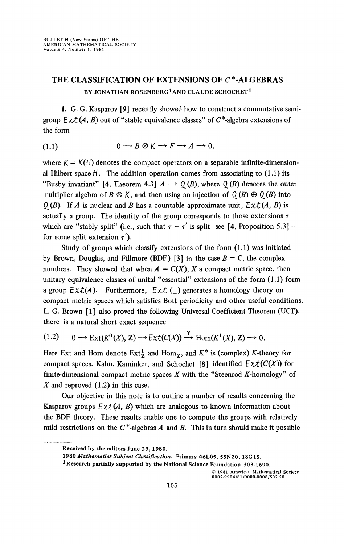## **THE CLASSIFICATION OF EXTENSIONS OF C\*-ALGEBRAS**  BY JONATHAN ROSENBERG<sup>1</sup>AND CLAUDE SCHOCHET<sup>1</sup>

**1.** G. G. Kasparov **[9]** recently showed how to construct a commutative semigroup  $Ext(A, B)$  out of "stable equivalence classes" of  $C^*$ -algebra extensions of the form

(1.1) 
$$
0 \longrightarrow B \otimes K \longrightarrow E \longrightarrow A \longrightarrow 0,
$$

where  $K = K(H)$  denotes the compact operators on a separable infinite-dimensional Hilbert space  $H$ . The addition operation comes from associating to  $(1.1)$  its "Busby invariant" [4, Theorem 4.3]  $A \rightarrow Q(B)$ , where  $Q(B)$  denotes the outer multiplier algebra of  $B \otimes K$ , and then using an injection of  $\mathcal{Q}(B) \oplus \mathcal{Q}(B)$  into *(I)* (*B*). If *A* is nuclear and *B* has a countable approximate unit,  $Ext(A, B)$  is actually a group. The identity of the group corresponds to those extensions  $\tau$ which are "stably split" (i.e., such that  $\tau + \tau'$  is split-see [4, Proposition 5.3] – for some split extension  $\tau'$ ).

Study of groups which classify extensions of the form (1.1) was initiated by Brown, Douglas, and Fillmore (BDF) [3] in the case *B =* C, the complex numbers. They showed that when  $A = C(X)$ *, X* a compact metric space, then unitary equivalence classes of unital "essential" extensions of the form (1.1) form a group  $Ext(A)$ . Furthermore,  $Ext(\underline{\ } )$  generates a homology theory on compact metric spaces which satisfies Bott periodicity and other useful conditions. L. G. Brown **[1]** also proved the following Universal Coefficient Theorem (UCT): there is a natural short exact sequence

$$
(1.2) \qquad 0 \longrightarrow \text{Ext}(K^0(X), \mathbb{Z}) \longrightarrow \text{Ext}(C(X)) \stackrel{\gamma}{\longrightarrow} \text{Hom}(K^1(X), \mathbb{Z}) \longrightarrow 0.
$$

Here Ext and Hom denote  $Ext^1_Z$  and Hom<sub>z</sub>, and  $K^*$  is (complex) K-theory for compact spaces. Kahn, Kaminker, and Schochet [8] identified  $Ext(C(X))$  for finite-dimensional compact metric spaces *X* with the "Steenrod A'-homology" of *X* and reproved (1.2) in this case.

Our objective in this note is to outline a number of results concerning the Kasparov groups  $E \times \mathcal{L}(A, B)$  which are analogous to known information about the BDF theory. These results enable one to compute the groups with relatively mild restrictions on the  $C^*$ -algebras  $A$  and  $B$ . This in turn should make it possible

**1 Research partially supported by the National Science Foundation 303-1690.** 

© 1981 American Mathematical Society 0002-9904/81 /0000-0008/\$02.50

**Received by the editors June 23, 1980.** 

**<sup>1980</sup>** *Mathematics Subject Classification.* **Primary 46L05, 55N20, 18G15.**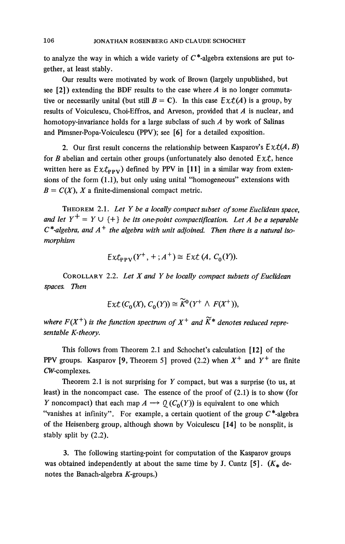to analyze the way in which a wide variety of  $C^*$ -algebra extensions are put together, at least stably.

Our results were motivated by work of Brown (largely unpublished, but see  $[2]$ ) extending the BDF results to the case where *A* is no longer commutative or necessarily unital (but still  $B = C$ ). In this case  $Ex \mathcal{L}(A)$  is a group, by results of Voiculescu, Choi-Effros, and Arveson, provided that *A* is nuclear, and homotopy-invariance holds for a large subclass of such *A* by work of Salinas and Pimsner-Popa-Voiculescu (PPV); see [6] for a detailed exposition.

2. Our first result concerns the relationship between Kasparov's  $Ext(A, B)$ for *B* abelian and certain other groups (unfortunately also denoted *Ext,* hence written here as  $Ext_{PPV}$ ) defined by PPV in [11] in a similar way from extensions of the form (1.1), but only using unital "homogeneous" extensions with  $B = C(X)$ , X a finite-dimensional compact metric.

THEOREM 2.1. *Let Y be a locally compact subset of some Euclidean space,*  and let  $Y^+ = Y \cup \{+\}$  be its one-point compactification. Let A be a separable *C\*-algebra, and A*<sup>+</sup> *the algebra with unit adjoined. Then there is a natural isomorphism* 

$$
Ext_{\text{PPV}}(Y^+, +; A^+) \cong Ext(A, C_0(Y)).
$$

COROLLARY 2.2. *Let X and Y be locally compact subsets of Euclidean spaces. Then* 

$$
\mathsf{Ext}\left(C_0(X), C_0(Y)\right) \cong \widetilde{K}^0(Y^+ \wedge F(X^+)),
$$

where  $F(X^+)$  is the function spectrum of  $X^+$  and  $\widetilde{K}^*$  denotes reduced repre*sentable K-theory.* 

This follows from Theorem 2.1 and Schochet's calculation [12] of the PPV groups. Kasparov [9, Theorem 5] proved (2.2) when  $X^+$  and  $Y^+$  are finite CW-complexes.

Theorem 2.1 is not surprising for *Y* compact, but was a surprise (to us, at least) in the noncompact case. The essence of the proof of (2.1) is to show (for *Y* noncompact) that each map  $A \rightarrow Q(C_0(Y))$  is equivalent to one which "vanishes at infinity". For example, a certain quotient of the group  $C^*$ -algebra of the Heisenberg group, although shown by Voiculescu [14] to be nonsplit, is stably split by (2.2).

3. The following starting-point for computation of the Kasparov groups was obtained independently at about the same time by J. Cuntz  $[5]$ .  $(K_{*}$  denotes the Banach-algebra  $K$ -groups.)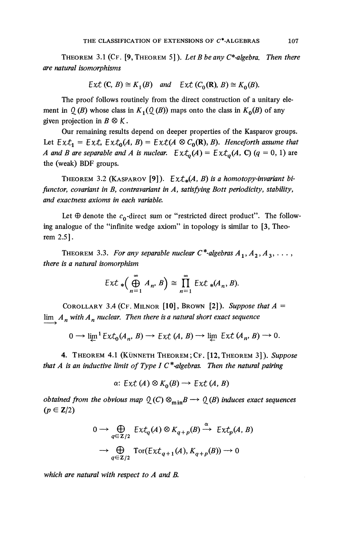THEOREM 3.1 (CF. [9, THEOREM 5]). *Let B be any C\*-algebra. Then there are natural isomorphisms* 

$$
\mathsf{Ext}\left(\mathsf{C},\,B\right)\cong K_1(B)\quad\text{and}\quad\mathsf{Ext}\left(C_0(\mathsf{R}),\,B\right)\cong K_0(B).
$$

The proof follows routinely from the direct construction of a unitary element in  $Q(B)$  whose class in  $K_1(Q(B))$  maps onto the class in  $K_0(B)$  of any given projection in  $B \otimes K$ .

Our remaining results depend on deeper properties of the Kasparov groups. Let  $Ext_1 = Ext$ ,  $Ext_0(A, B) = Ext(A \otimes C_0(\mathbb{R}), B)$ . Henceforth assume that *A* and *B* are separable and *A* is nuclear.  $Ext_{\alpha}(A) = Ext_{\alpha}(A, C)$  (q = 0, 1) are the (weak) BDF groups.

THEOREM 3.2 (KASPAROV<sup>[9]</sup>).  $Ext_{*}(A, B)$  is a homotopy-invariant bi*functor, covariant in By contravariant in A, satisfying Bott periodicity, stability, and exactness axioms in each variable.* 

Let  $\oplus$  denote the  $c_0$ -direct sum or "restricted direct product". The following analogue of the "infinite wedge axiom" in topology is similar to [3, Theorem 2.5].

THEOREM 3.3. For any separable nuclear  $C^*$ -algebras  $A_1, A_2, A_3, \ldots$ , *there is a natural isomorphism* 

$$
\mathsf{Ext}\, \ast \left(\bigoplus_{n=1}^{\infty} A_n, B\right) \cong \prod_{n=1}^{\infty} \mathsf{Ext}\, \ast (A_n, B).
$$

COROLLARY 3.4 (CF. MILNOR [10], BROWN [2]). Suppose that  $A =$ lim  $A_n$  with  $A_n$  nuclear. Then there is a natural short exact sequence

$$
0 \longrightarrow \lim_{h \to 0} \text{Ext}_0(A_n, B) \longrightarrow \text{Ext}(A, B) \longrightarrow \lim_{h \to 0} \text{Ext}(A_n, B) \longrightarrow 0.
$$

4. THEOREM 4.1 (KÜNNETH THEOREM;CF. [12,THEOREM 3]). *Suppose that A is an inductive limit of Type J C \*-algebras. Then the natural pairing* 

 $\alpha$ : Ext(A)  $\otimes$  K<sub>0</sub>(B)  $\rightarrow$  Ext(A, B)

*obtained from the obvious map*  $Q(C) \otimes_{\min} B \longrightarrow Q(B)$  *induces exact sequences*  $(p \in \mathbb{Z}/2)$ 

$$
0 \to \bigoplus_{q \in \mathbb{Z}/2} \text{Ext}_q(A) \otimes K_{q+p}(B) \xrightarrow{\alpha} \text{Ext}_p(A, B)
$$
  

$$
\to \bigoplus_{q \in \mathbb{Z}/2} \text{Tor}(\text{Ext}_{q+1}(A), K_{q+p}(B)) \to 0
$$

*which are natural with respect to A and B.*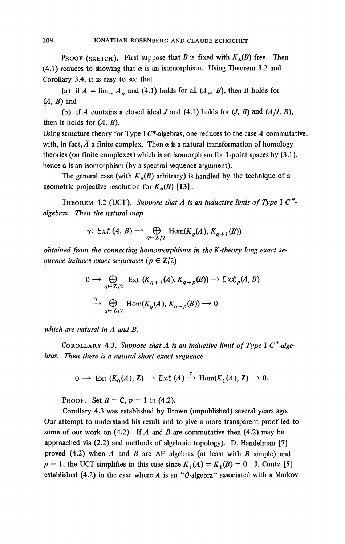PROOF (SKETCH). First suppose that *B* is fixed with  $K_{\ast}(B)$  free. Then (4.1) reduces to showing that  $\alpha$  is an isomorphism. Using Theorem 3.2 and Corollary 3.4, it is easy to see that

(a) if  $A = \lim_{n \to \infty} A_n$  and (4.1) holds for all  $(A_n, B)$ , then it holds for *(A, B)* and

(b) if *A* contains a closed ideal *J* and (4.1) holds for  $(J, B)$  and  $(A/J, B)$ , then it holds for *(A, B).* 

Using structure theory for Type I C\*-algebras, one reduces to the case *A* commutative, with, in fact,  $\hat{A}$  a finite complex. Then  $\alpha$  is a natural transformation of homology theories (on finite complexes) which is an isomorphism for 1-point spaces by (3.1), hence  $\alpha$  is an isomorphism (by a spectral sequence argument).

The general case (with  $K_{\ast}(B)$  arbitrary) is handled by the technique of a geometric projective resolution for  $K_*(B)$  [13].

THEOREM 4.2 (UCT). Suppose that A is an inductive limit of Type I  $C^*$ *algebras. Then the natural map* 

$$
\gamma\colon Ext\left(A,\,B\right)\longrightarrow\bigoplus_{q\in\mathbb{Z}/2}\mathrm{Hom}(K_{q}(A),\,K_{q+1}(B))
$$

*obtained from the connecting homomorphisms in the K-theory long exact sequence induces exact sequences (* $p \in \mathbb{Z}/2$ *)* 

$$
0 \to \bigoplus_{q \in \mathbb{Z}/2} \text{Ext}(K_{q+1}(A), K_{q+p}(B)) \to \text{Ext}_p(A, B)
$$
  

$$
\xrightarrow{\gamma} \bigoplus_{q \in \mathbb{Z}/2} \text{Hom}(K_q(A), K_{q+p}(B)) \to 0
$$

*which are natural in A and B.* 

COROLLARY 4.3. *Suppose that A is an inductive limit of Type* I C\**-algebras. Then there is a natural short exact sequence* 

$$
0 \longrightarrow \text{Ext}(K_0(A), \mathbf{Z}) \longrightarrow \text{Ext}(A) \xrightarrow{\gamma} \text{Hom}(K_1(A), \mathbf{Z}) \longrightarrow 0.
$$

**PROOF.** Set  $B = C$ ,  $p = 1$  in (4.2).

Corollary 4.3 was established by Brown (unpublished) several years ago. Our attempt to understand his result and to give a more transparent proof led to some of our work on (4.2). If *A* and *B* are commutative then (4.2) may be approached via (2.2) and methods of algebraic topology). D. Handelman [7] proved (4.2) when *A* and *B* are AF algebras (at least with *B* simple) and  $p = 1$ ; the UCT simplifies in this case since  $K_1(A) = K_1(B) = 0$ . J. Cuntz [5] established (4.2) in the case where  $A$  is an " $O$ -algebra" associated with a Markov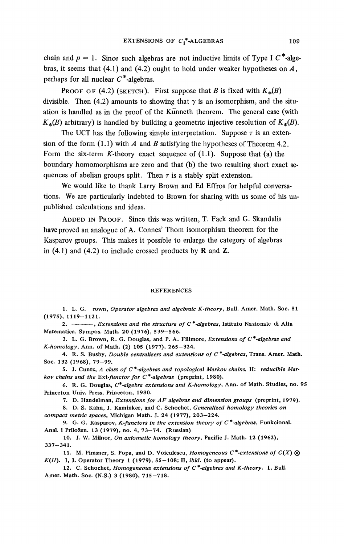chain and  $p = 1$ . Since such algebras are not inductive limits of Type I  $C^*$ -algebras, it seems that (4.1) and (4.2) ought to hold under weaker hypotheses *on A,*  perhaps for all nuclear  $C^*$ -algebras.

PROOF OF (4.2) (SKETCH). First suppose that *B* is fixed with  $K_*(B)$ divisible. Then (4.2) amounts to showing that  $\gamma$  is an isomorphism, and the situation is handled as in the proof of the Künneth theorem. The general case (with  $K_{*}(B)$  arbitrary) is handled by building a geometric injective resolution of  $K_{*}(B)$ .

The UCT has the following simple interpretation. Suppose  $\tau$  is an extension of the form (1.1) with *A* and *B* satisfying the hypotheses of Theorem 4.2. Form the six-term K-theory exact sequence of  $(1.1)$ . Suppose that (a) the boundary homomorphisms are zero and that (b) the two resulting short exact sequences of abelian groups split. Then  $\tau$  is a stably split extension.

We would like to thank Larry Brown and Ed Effros for helpful conversations. We are particularly indebted to Brown for sharing with us some of his unpublished calculations and ideas.

ADDED IN PROOF. Since this was written, T. Fack and G. Skandalis have proved an analogue of A. Connes' Thom isomorphism theorem for the Kasparov groups. This makes it possible to enlarge the category of algebras in  $(4.1)$  and  $(4.2)$  to include crossed products by **R** and **Z**.

#### **REFERENCES**

1. L. G. rown, *Operator algebras and algebraic K-theory,* Bull. Amer. Math. Soc. 81 (1975), 1119-1121 .

2. **12. 2.** *Extensions and the structure of*  $C^*$ -algebras, Istituto Nazionale di Alta Matematica, Sympos. Math. 20 (1976), 539-566 .

3. L. G. Brown, R. G. Douglas, and P. A. Fillmore, *Extensions of C\*-algebras and K-homology,* Ann. of Math. (2) 105 (1977), 265-324 .

4. R. S. Busby, *Double centralizers and extensions of C\*-algebras.* Trans. Amer. Math. Soc. 132 (1968), 79-99.

5. J. Cuntz, *A class of C\*-algebras and topological Markov chains.* II: *reducible Markov chains and the Ext-functor for C\*-algebras* (preprint, 1980).

6. R. G. Douglas, *C\*-algebra extensions and K-homology,* Ann. of Math. Studies, no. 95 Princeton Univ. Press, Princeton, 1980.

7. D. Handelman, *Extensions for AF algebras and dimension groups* (preprint, 1979).

8. D. S. Kahn, J. Kaminker, and C. Schochet, *Generalized homology theories on compact metric spaces,* Michigan Math. J. 24 (1977), 203—224.

9. G. G. Kasparov, *K-functors in the extension theory of C\*-algebras,* Funkcional. Anal, i Prilozen. 13 (1979), no. 4, 73-74 . (Russian)

10. J. W. Milnor, *On axiomatic homology theory,* Pacific J. Math. 12 (1962),  $337 - 341.$ 

11. M. Pimsner, S. Popa, and D. Voiculescu, *Homogeneous*  $C^*$ -extensions of  $C(X)$   $\otimes$ *K(H).* I, J. Operator Theory 1 (1979), 55-108; II, *ibid.* (to appear).

12. C. Schochet, *Homogeneous extensions of C\*-algebras and K-theory.* I, Bull. Amer. Math. Soc. (N.S.) 3 (1980), 715-718.